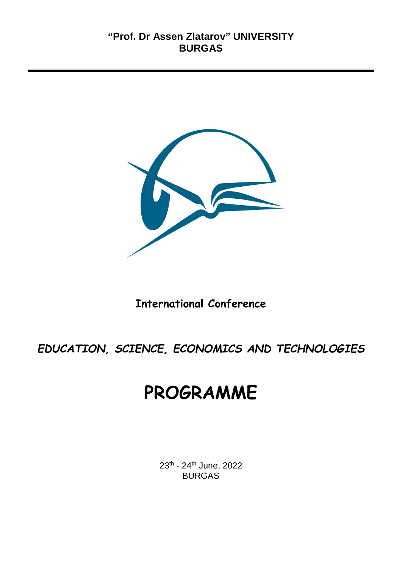

## **International Conference**

*EDUCATION, SCIENCE, ECONOMICS AND TECHNOLOGIES* 

# **PROGRAMME**

23th - 24th June, 2022 BURGAS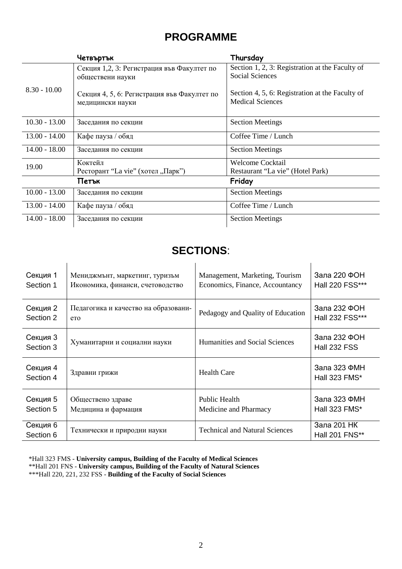## **PROGRAMME**

|                 | Четвъртък                                                       | Thursday                                                                   |
|-----------------|-----------------------------------------------------------------|----------------------------------------------------------------------------|
| $8.30 - 10.00$  | Секция 1,2, 3: Регистрация във Факултет по<br>обществени науки  | Section 1, 2, 3: Registration at the Faculty of<br><b>Social Sciences</b>  |
|                 | Секция 4, 5, 6: Регистрация във Факултет по<br>медицински науки | Section 4, 5, 6: Registration at the Faculty of<br><b>Medical Sciences</b> |
| $10.30 - 13.00$ | Заседания по секции                                             | <b>Section Meetings</b>                                                    |
| $13.00 - 14.00$ | Кафе пауза / обяд                                               | Coffee Time / Lunch                                                        |
| $14.00 - 18.00$ | Заседания по секции                                             | <b>Section Meetings</b>                                                    |
| 19.00           | Коктейл                                                         | <b>Welcome Cocktail</b>                                                    |
|                 | Ресторант "La vie" (хотел "Парк")                               | Restaurant "La vie" (Hotel Park)                                           |
| Friday<br>Петък |                                                                 |                                                                            |
| $10.00 - 13.00$ | Заседания по секции                                             | <b>Section Meetings</b>                                                    |
| $13.00 - 14.00$ | Кафе пауза / обяд                                               | Coffee Time / Lunch                                                        |
| $14.00 - 18.00$ | Заседания по секции                                             | <b>Section Meetings</b>                                                    |

## **SECTIONS**:

| Секция 1              | Мениджмънт, маркетинг, туризъм       | Management, Marketing, Tourism        | Зала 220 ФОН                         |
|-----------------------|--------------------------------------|---------------------------------------|--------------------------------------|
| Section 1             | Икономика, финанси, счетоводство     | Economics, Finance, Accountancy       | Hall 220 FSS***                      |
| Секция 2              | Педагогика и качество на образовани- | Pedagogy and Quality of Education     | Зала 232 ФОН                         |
| Section 2             | eto                                  |                                       | Hall 232 FSS***                      |
| Секция 3<br>Section 3 | Хуманитарни и социални науки         | Humanities and Social Sciences        | Зала 232 ФОН<br><b>Hall 232 FSS</b>  |
| Секция 4<br>Section 4 | Здравни грижи                        | <b>Health Care</b>                    | Зала 323 ФМН<br><b>Hall 323 FMS*</b> |
| Секция 5              | Обществено здраве                    | Public Health                         | Зала 323 ФМН                         |
| Section 5             | Медицина и фармация                  | Medicine and Pharmacy                 | Hall 323 FMS*                        |
| Секция 6<br>Section 6 | Технически и природни науки          | <b>Technical and Natural Sciences</b> | Зала 201 НК<br>Hall 201 FNS**        |

\*Hall 323 FМS - **University campus, Building of the Faculty of Medical Sciences**

\*\*Hall 201 FNS - **University campus, Building of the Faculty of Natural Sciences**

\*\*\*Hall 220, 221, 232 FSS - **Building of the Faculty of Social Sciences**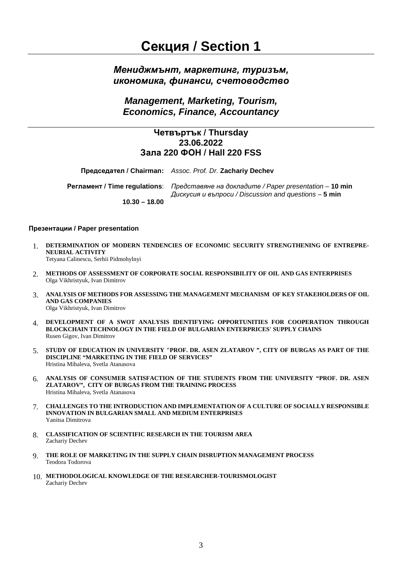## **Секция / Section 1**

## *Мениджмънт, маркетинг, туризъм, икономика, финанси, счетоводство*

*Management, Marketing, Tourism, Economics, Finance, Accountancy*

### **Четвъртък / Thursday 23.06.2022 Зала 220 ФОН / Hall 220 FSS**

**Председател / Chairman:** *Assoc. Prof. Dr.* **Zachariy Dechev**

**Регламент / Time regulations**: *Представяне на докладите / Paper presentation* – **10 min** *Дискусия и въпроси / Discussion and questions* – **5 min 10.30 – 18.00**

#### **Презентации / Paper presentation**

- 1. **DETERMINATION OF MODERN TENDENCIES OF ECONOMIC SECURITY STRENGTHENING OF ENTREPRE-NEURIAL ACTIVITY** Tetyana Calinescu, Serhii Pidmohylnyi
- 2. **METHODS OF ASSESSMENT OF CORPORATE SOCIAL RESPONSIBILITY OF OIL AND GAS ENTERPRISES** Olga Vikhristyuk, Ivan Dimitrov
- 3. **ANALYSIS OF METHODS FOR ASSESSING THE MANAGEMENT MECHANISM OF KEY STAKEHOLDERS OF OIL AND GAS COMPANIES** Olga Vikhristyuk, Ivan Dimitrov
- 4. **DEVELOPMENT OF A SWOT ANALYSIS IDENTIFYING OPPORTUNITIES FOR COOPERATION THROUGH BLOCKCHAIN TECHNOLOGY IN THE FIELD OF BULGARIAN ENTERPRICES' SUPPLY CHAINS** Rusen Gigov, Ivan Dimitrov
- 5. **STUDY OF EDUCATION IN UNIVERSITY "PROF. DR. ASEN ZLATAROV ", CITY OF BURGAS AS PART OF THE DISCIPLINE "MARKETING IN THE FIELD OF SERVICES"** Hristina Mihaleva, Svetla Atanasova
- 6. **ANALYSIS OF CONSUMER SATISFACTION OF THE STUDENTS FROM THE UNIVERSITY "PROF. DR. ASEN ZLATAROV", CITY OF BURGAS FROM THE TRAINING PROCESS** Hristina Mihaleva, Svetla Atanasova
- 7. **CHALLENGES TO THE INTRODUCTION AND IMPLEMENTATION OF A CULTURE OF SOCIALLY RESPONSIBLE INNOVATION IN BULGARIAN SMALL AND MEDIUM ENTERPRISES** Yanitsa Dimitrova
- 8. **CLASSIFICATION OF SCIENTIFIC RESEARCH IN THE TOURISM AREA** Zachariy Dechev
- 9. **THE ROLE OF MARKETING IN THE SUPPLY CHAIN DISRUPTION MANAGEMENT PROCESS** Teodora Todorova
- 10. **METHODOLOGICAL KNOWLEDGE OF THE RESEARCHER-TOURISMOLOGIST** Zachariy Dechev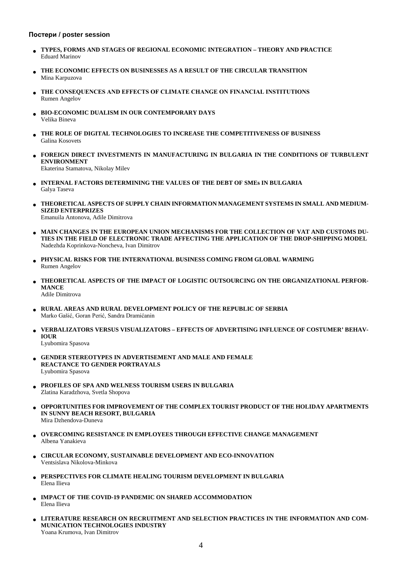#### **Постери / poster session**

- **TYPES, FORMS AND STAGES OF REGIONAL ECONOMIC INTEGRATION – THEORY AND PRACTICE** Eduard Marinov
- **THE ECONOMIC EFFECTS ON BUSINESSES AS A RESULT OF THE CIRCULAR TRANSITION** Mina Karpuzova
- **ТHE CONSEQUENCES AND EFFECTS OF CLIMATE CHANGE ON FINANCIAL INSTITUTIONS** Rumen Angelov
- **BIO-ECONOMIC DUALISM IN OUR CONTEMPORARY DAYS** Velika Bineva
- **THE ROLE OF DIGITAL TECHNOLOGIES TO INCREASE THE COMPETITIVENESS OF BUSINESS** Galina Kosovets
- **FOREIGN DIRECT INVESTMENTS IN MANUFACTURING IN BULGARIA IN THE CONDITIONS OF TURBULENT ENVIRONMENT**

Ekaterina Stamatova, Nikolay Milev

- **INTERNAL FACTORS DETERMINING THE VALUES OF THE DEBT OF SMEs IN BULGARIA** Galya Taseva
- **THEORETICAL ASPECTS OF SUPPLY CHAIN INFORMATION MANAGEMENT SYSTEMS IN SMALL AND MEDIUM-SIZED ENTERPRIZES** Emanuila Antonova, Adile Dimitrova
- **MAIN CHANGES IN THE EUROPEAN UNION MECHANISMS FOR THE COLLECTION OF VAT AND CUSTOMS DU-TIES IN THE FIELD OF ELECTRONIC TRADE AFFECTING THE APPLICATION OF THE DROP-SHIPPING MODEL** Nadezhda Koprinkova-Noncheva, Ivan Dimitrov
- **PHYSICAL RISKS FOR THE INTERNATIONAL BUSINESS COMING FROM GLOBAL WARMING** Rumen Angelov
- **THEORETICAL ASPECTS OF THE IMPACT OF LOGISTIC OUTSOURCING ON THE ORGANIZATIONAL PERFOR-MANCE** Adile Dimitrova
- **RURAL AREAS AND RURAL DEVELOPMENT POLICY OF THE REPUBLIC OF SERBIA** Marko Gašić, Goran Perić, Sandra Dramićanin
- **VERBALIZATORS VERSUS VISUALIZATORS – EFFECTS OF ADVERTISING INFLUENCE OF COSTUMER' BEHAV-IOUR**

Lyubomira Spasova

- **GENDER STEREOTYPES IN ADVERTISEMENT AND MALE AND FEMALE REACTANCE TO GENDER PORTRAYALS**  Lyubomira Spasova
- **PROFILES OF SPA AND WELNESS TOURISM USERS IN BULGARIA** Zlatina Karadzhova, Svetla Shopova
- **OPPORTUNITIES FOR IMPROVEMENT OF THE COMPLEX TOURIST PRODUCT OF THE HOLIDAY APARTMENTS IN SUNNY BEACH RESORT, BULGARIA** Mira Dzhendova-Duneva
- **OVERCOMING RESISTANCE IN EMPLOYEES THROUGH EFFECTIVE CHANGE MANAGEMENT** Albena Yanakieva
- **CIRCULAR ECONOMY, SUSTAINABLE DEVELOPMENT AND ECO-INNOVATION** Ventsislava Nikolova-Minkova
- **PERSPECTIVES FOR CLIMATE HEALING TOURISM DEVELOPMENT IN BULGARIA** Elena Ilieva
- **IMPACT OF THE COVID-19 PANDEMIC ON SHARED ACCOMMODATION** Elena Ilieva
- **LITERATURE RESEARCH ON RECRUITMENT AND SELECTION PRACTICES IN THE INFORMATION AND COM-MUNICATION TECHNOLOGIES INDUSTRY** Yoana Krumova, Ivan Dimitrov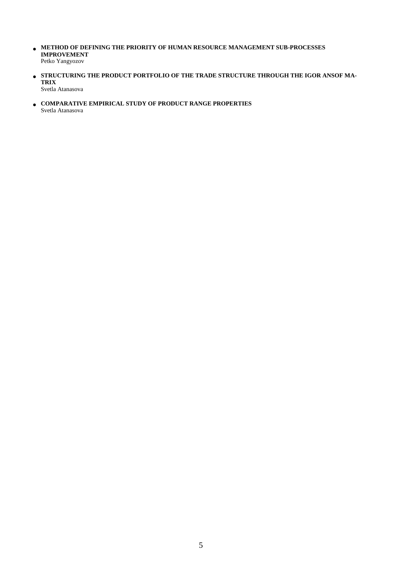- **METHOD OF DEFINING THE PRIORITY OF HUMAN RESOURCE MANAGEMENT SUB-PROCESSES IMPROVEMENT** Petko Yangyozov
- **STRUCTURING THE PRODUCT PORTFOLIO OF THE TRADE STRUCTURE THROUGH THE IGOR ANSOF MA-TRIX** Svetla Atanasova
- **COMPARATIVE EMPIRICAL STUDY OF PRODUCT RANGE PROPERTIES** Svetla Atanasova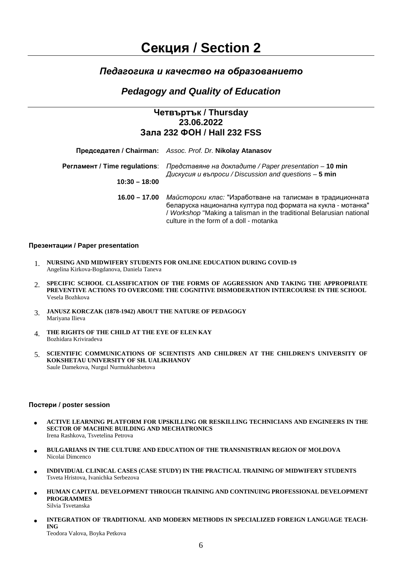## *Педагогика и качество на образованието*

## *Pedagogy and Quality of Education*

## **Четвъртък / Thursday 23.06.2022 Зала 232 ФОН / Hall 232 FSS**

|                               | Председател / Chairman: Assoc. Prof. Dr. Nikolay Atanasov                                                                                                                                                                                    |  |
|-------------------------------|----------------------------------------------------------------------------------------------------------------------------------------------------------------------------------------------------------------------------------------------|--|
| Регламент / Time regulations: | Представяне на докладите / Paper presentation - 10 min<br>Дискусия и въпроси / Discussion and questions - 5 min                                                                                                                              |  |
| $10:30 - 18:00$               |                                                                                                                                                                                                                                              |  |
| 16.00 – 17.00                 | Майсторски клас: "Изработване на талисман в традиционната<br>беларуска национална култура под формата на кукла - мотанка"<br>/ Workshop "Making a talisman in the traditional Belarusian national<br>culture in the form of a doll - motanka |  |

#### **Презентации / Paper presentation**

- 1. **NURSING AND MIDWIFERY STUDENTS FOR ONLINE EDUCATION DURING COVID-19**  Angelina Kirkova-Bogdanova, Daniela Taneva
- 2. **SPECIFIC SCHOOL CLASSIFICATION OF THE FORMS OF AGGRESSION AND TAKING THE APPROPRIATE PREVENTIVE ACTIONS TO OVERCOME THE COGNITIVE DISMODERATION INTERCOURSE IN THE SCHOOL** Vesela Bozhkova
- 3. **JANUSZ KORCZAK (1878-1942) ABOUT THE NATURE OF PEDAGOGY** Mariyana Ilieva
- 4. **THE RIGHTS OF THE CHILD AT THE EYE OF ELEN KAY** Bozhidara Kriviradeva
- 5. **SCIENTIFIC COMMUNICATIONS OF SCIENTISTS AND CHILDREN AT THE CHILDREN'S UNIVERSITY OF KOKSHETAU UNIVERSITY OF SH. UALIKHANOV** Saule Damekova, Nurgul Nurmukhanbetova

#### **Постери / poster session**

- **ACTIVE LEARNING PLATFORM FOR UPSKILLING OR RESKILLING TECHNICIANS AND ENGINEERS IN THE SECTOR OF MACHINE BUILDING AND MECHATRONICS** Irena Rashkova, Tsvetelina Petrova
- **BULGARIANS IN THE CULTURE AND EDUCATION OF THE TRANSNISTRIAN REGION OF MOLDOVA** Nicolai Dimcenco
- **INDIVIDUAL CLINICAL CASES (CASE STUDY) IN THE PRACTICAL TRAINING OF MIDWIFERY STUDENTS** Tsveta Hristova, Ivanichka Serbezova
- **HUMAN CAPITAL DEVELOPMENT THROUGH TRAINING AND CONTINUING PROFESSIONAL DEVELOPMENT PROGRAMMES** Silvia Tsvetanska
- **INTEGRATION OF TRADITIONAL AND MODERN METHODS IN SPECIALIZED FOREIGN LANGUAGE TEACH-ING** Teodora Valova, Boyka Petkova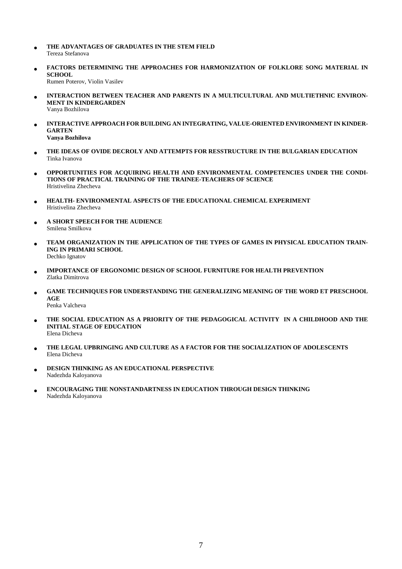- **THE ADVANTAGES OF GRADUATES IN THE STEM FIELD**  Tereza Stefanova
- **FACTORS DETERMINING THE APPROACHES FOR HARMONIZATION OF FOLKLORE SONG MATERIAL IN SCHOOL** Rumen Poterov, Violin Vasilev
- **INTERACTION BETWEEN TEACHER AND PARENTS IN A MULTICULTURAL AND MULTIETHNIC ENVIRON-MENT IN KINDERGARDEN** Vanya Bozhilova
- **INTERACTIVE APPROACH FOR BUILDING AN INTEGRATING, VALUE-ORIENTED ENVIRONMENT IN KINDER-GARTEN Vanya Bozhilova**
- **THE IDEAS OF OVIDE DECROLY AND ATTEMPTS FOR RESSTRUCTURE IN THE BULGARIAN EDUCATION** Tinka Ivanova
- **OPPORTUNITIES FOR ACQUIRING HEALTH AND ENVIRONMENTAL COMPETENCIES UNDER THE CONDI-TIONS OF PRACTICAL TRAINING OF THE TRAINEE-TEACHERS OF SCIENCE** Hristivelina Zhecheva
- **HEALTH- ENVIRONMENTAL ASPECTS OF THE EDUCATIONAL CHEMICAL EXPERIMENT** Hristivelina Zhecheva
- **A SHORT SPEECH FOR THE AUDIENCE**  Smilena Smilkova
- **TEAM ORGANIZATION IN THE APPLICATION OF THE TYPES OF GAMES IN PHYSICAL EDUCATION TRAIN-ING IN PRIMARI SCHOOL** Dechko Ignatov
- **IMPORTANCE OF ERGONOMIC DESIGN OF SCHOOL FURNITURE FOR HEALTH PREVENTION**  Zlatka Dimitrova
- **GAME TECHNIQUES FOR UNDERSTANDING THE GENERALIZING MEANING OF THE WORD ET PRESCHOOL AGE** 
	- Penka Valcheva
- **THE SOCIAL EDUCATION AS A PRIORITY OF THE PEDAGOGICAL ACTIVITY IN A CHILDHOOD AND THE INITIAL STAGE OF EDUCATION** Elena Dicheva
- **THE LEGAL UPBRINGING AND CULTURE AS A FACTOR FOR THE SOCIALIZATION OF ADOLESCENTS** Elena Dicheva
- **DESIGN THINKING AS AN EDUCATIONAL PERSPECTIVE** Nadezhda Kaloyanova
- **ENCOURAGING THE NONSTANDARTNESS IN EDUCATION THROUGH DESIGN THINKING** Nadezhda Kaloyanova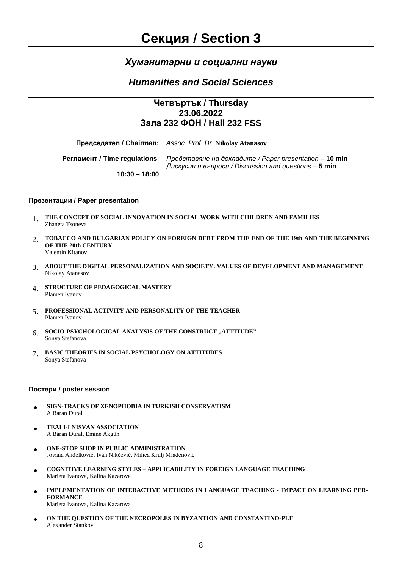## *Хуманитарни и социални науки*

## *Humanities and Social Sciences*

## **Четвъртък / Thursday 23.06.2022 Зала 232 ФОН / Hall 232 FSS**

**Председател / Chairman:** *Assoc. Prof. Dr.* **Nikolay Atanasov**

**Регламент / Time regulations**: *Представяне на докладите / Paper presentation* – **10 min** *Дискусия и въпроси / Discussion and questions* – **5 min**

**10:30 – 18:00**

#### **Презентации / Paper presentation**

- 1. **THE CONCEPT OF SOCIAL INNOVATION IN SOCIAL WORK WITH CHILDREN AND FAMILIES** Zhaneta Tsoneva
- 2. **TOBACCO AND BULGARIAN POLICY ON FOREIGN DEBT FROM THE END OF THE 19th AND THE BEGINNING OF THE 20th CENTURY** Valentin Kitanov
- 3. **ABOUT THE DIGITAL PERSONALIZATION AND SOCIETY: VALUES OF DEVELOPMENT AND MANAGEMENT** Nikolay Atanasov
- 4. **STRUCTURE OF PEDAGOGICAL MASTERY** Plamen Ivanov
- 5. **PROFESSIONAL ACTIVITY AND PERSONALITY OF THE TEACHER** Plamen Ivanov
- 6. SOCIO-PSYCHOLOGICAL ANALYSIS OF THE CONSTRUCT "ATTITUDE" Sonya Stefanova
- 7. **BASIC THEORIES IN SOCIAL PSYCHOLOGY ON ATTITUDES** Sonya Stefanova

#### **Постери / poster session**

- **SIGN-TRACKS OF XENOPHOBIA IN TURKISH CONSERVATISM** A Baran Dural
- **TEALI-I NISVAN ASSOCIATION** A Baran Dural, Emine Akgün
- **ONE-STOP SHOP IN PUBLIC ADMINISTRATION** Jovana Anđelković, Ivan Nikčević, Milica Krulj Mladenović
- **COGNITIVE LEARNING STYLES – APPLICABILITY IN FOREIGN LANGUAGE TEACHING** Marieta Ivanova, Kalina Kazarova
- **IMPLEMENTATION OF INTERACTIVE METHODS IN LANGUAGE TEACHING - IMPACT ON LEARNING PER-FORMANCE**  Marieta Ivanova, Kalina Kazarova
- **ON THE QUESTION OF THE NECROPOLES IN BYZANTION AND CONSTANTINO-PLE** Alexander Stankov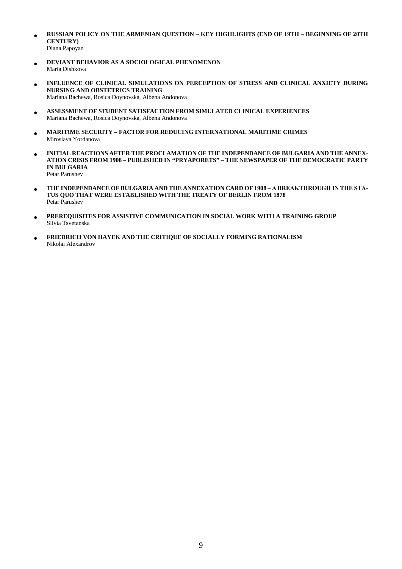- **RUSSIAN POLICY ON THE ARMENIAN QUESTION – KEY HIGHLIGHTS (END OF 19TH – BEGINNING OF 20TH CENTURY)** Diana Papoyan
- **DEVIANT BEHAVIOR AS A SOCIOLOGICAL PHENOMENON** Maria Dishkova
- **INFLUENCE OF CLINICAL SIMULATIONS ON PERCEPTION OF STRESS AND CLINICAL ANXIETY DURING NURSING AND OBSTETRICS TRAINING** Mariana Bachewa, Rosica Doynovska, Albena Andonova
- **ASSESSMENT OF STUDENT SATISFACTION FROM SIMULATED CLINICAL EXPERIENCES** Mariana Bachewa, Rosica Doynovska, Albena Andonova
- **MARITIME SECURITY – FACTOR FOR REDUCING INTERNATIONAL MARITIME CRIMES** Miroslava Yordanova
- **INITIAL REACTIONS AFTER THE PROCLAMATION OF THE INDEPENDANCE OF BULGARIA AND THE ANNEX-ATION CRISIS FROM 1908 – PUBLISHED IN "PRYAPORETS" – THE NEWSPAPER OF THE DEMOCRATIC PARTY IN BULGARIA** Petar Parushev
- **THE INDEPENDANCE OF BULGARIA AND THE ANNEXATION CARD OF 1908 – А BREAKTHROUGH IN THE STA-TUS QUO THAT WERE ESTABLISHED WITH THE TREATY OF BERLIN FROM 1878** Petar Parushev
- **PREREQUISITES FOR ASSISTIVE COMMUNICATION IN SOCIAL WORK WITH A TRAINING GROUP** Silvia Tsvetanska
- **FRIEDRICH VON HAYEK AND THE CRITIQUE OF SOCIALLY FORMING RATIONALISM** Nikolai Alexandrov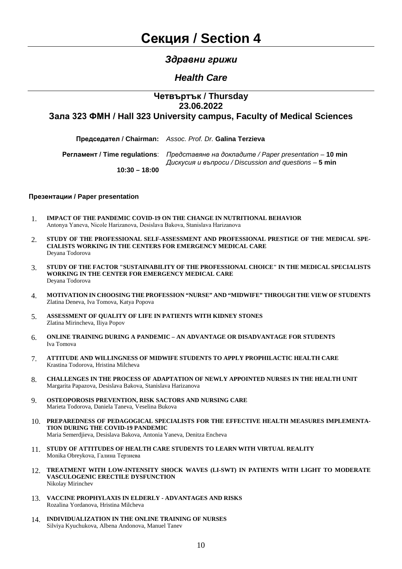## *Здравни грижи*

## *Health Care*

### **Четвъртък / Thursday 23.06.2022**

**Зала 323 ФМН / Hall 323 University campus, Faculty of Medical Sciences**

**Регламент / Time regulations**: *Представяне на докладите / Paper presentation* – **10 min** *Дискусия и въпроси / Discussion and questions* – **5 min 10:30 – 18:00**

#### **Презентации / Paper presentation**

- 1. **IMPACT OF THE PANDEMIC COVID-19 ON THE CHANGE IN NUTRITIONAL BEHAVIOR** Аntonya Yaneva, Nicole Harizanova, Desislava Bakova, Stanislava Harizanova
- 2. **STUDY OF THE PROFESSIONAL SELF-ASSESSMENT AND PROFESSIONAL PRESTIGE OF THE MEDICAL SPE-CIALISTS WORKING IN THE CENTERS FOR EMERGENCY MEDICAL CARE** Deyana Todorova
- 3. **STUDY OF THE FACTOR "SUSTAINABILITY OF THE PROFESSIONAL CHOICE" IN THE MEDICAL SPECIALISTS WORKING IN THE CENTER FOR EMERGENCY MEDICAL CARE** Deyana Todorova
- 4. **MOTIVATION IN CHOOSING THE PROFESSION "NURSE" AND "MIDWIFE" THROUGH THE VIEW OF STUDENTS** Zlatina Deneva, Iva Tomova, Katya Popova
- 5. **ASSESSMENT OF QUALITY OF LIFE IN PATIENTS WITH KIDNEY STONES** Zlatina Mirincheva, Iliya Popov
- 6. **ONLINE TRAINING DURING A PANDEMIC – AN ADVANTAGE OR DISADVANTAGE FOR STUDENTS**  Iva Tomova
- 7. **ATTITUDE AND WILLINGNESS OF MIDWIFE STUDENTS TO APPLY PROPHILACTIC HEALTH CARE** Krastina Todorova, Hristina Milcheva
- 8. **CHALLENGES IN THE PROCESS OF ADAPTATION OF NEWLY APPOINTED NURSES IN THE HEALTH UNIT** Margarita Papazova, Desislava Bakova, Stanislava Harizanova
- 9. **OSTEOPOROSIS PREVENTION, RISK SACTORS AND NURSING CARE** Marieta Todorova, Daniela Taneva, Veselina Bukova
- 10. **PREPAREDNESS OF PEDAGOGICAL SPECIALISTS FOR THE EFFECTIVE HEALTH MEASURES IMPLEMENTA-TION DURING THE COVID-19 PANDEMIC** Maria Semerdjieva, Desislava Bakova, Antonia Yaneva, Denitza Encheva
- 11. **STUDY OF ATTITUDES OF HEALTH CARE STUDENTS TO LEARN WITH VIRTUAL REALITY** Monika Obreykova, Галина Терзиева
- 12. **TREATMENT WITH LOW-INTENSITY SHOCK WAVES (LI-SWT) IN PATIENTS WITH LIGHT TO MODERATE VASCULOGENIC ERECTILE DYSFUNCTION** Nikolay Mirinchev
- 13. **VACCINE PROPHYLAXIS IN ELDERLY - ADVANTAGES AND RISKS** Rozalina Yordanova, Hristina Milcheva
- 14. **INDIVIDUALIZATION IN THE ONLINE TRAINING OF NURSES** Silviya Kyuchukova, Albena Andonova, Manuel Tanev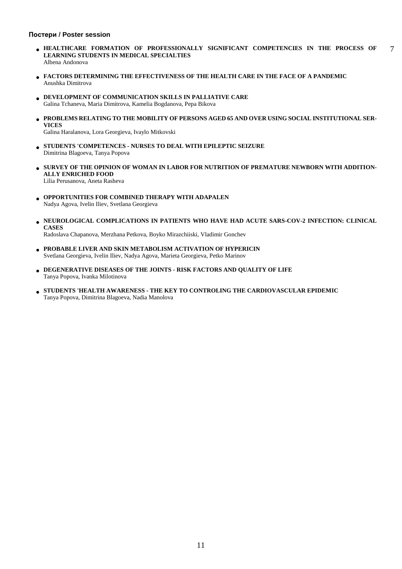#### **Постери / Poster session**

- **HEALTHCARE FORMATION OF PROFESSIONALLY SIGNIFICANT COMPETENCIES IN THE PROCESS OF LEARNING STUDENTS IN MEDICAL SPECIALTIES** Albena Andonova 7
- **FACTORS DETERMINING THE EFFECTIVENESS OF THE HEALTH CARE IN THE FACE OF A PANDEMIC** Anushka Dimitrova
- **DEVELOPMENT OF COMMUNICATION SKILLS IN PALLIATIVE CARE** Galina Tchaneva, Maria Dimitrova, Kamelia Bogdanova, Pepa Bikova
- **PROBLEMS RELATING TO THE MOBILITY OF PERSONS AGED 65 AND OVER USING SOCIAL INSTITUTIONAL SER-VICES**

Galina Haralanova, Lora Georgieva, Ivaylo Mitkovski

- **STUDENTS 'COMPETENCES - NURSES TO DEAL WITH EPILEPTIC SEIZURE** Dimitrina Blagoeva, Tanya Popova
- **SURVEY OF THE OPINION OF WOMAN IN LABOR FOR NUTRITION OF PREMATURE NEWBORN WITH ADDITION-ALLY ENRICHED FOOD** Lilia Perusanova, Aneta Rasheva
- **OPPORTUNITIES FOR COMBINED THERAPY WITH ADAPALEN** Nadya Agova, Ivelin Iliev, Svetlana Georgieva
- **NEUROLOGICAL COMPLICATIONS IN PATIENTS WHO HAVE HAD ACUTE SARS-COV-2 INFECTION: CLINICAL CASES**

Radoslava Chapanova, Merzhana Petkova, Boyko Mirazchiiski, Vladimir Gonchev

- **PROBABLE LIVER AND SKIN METABOLISM ACTIVATION OF HYPERICIN** Svetlana Georgieva, Ivelin Iliev, Nadya Agova, Marieta Georgieva, Petko Marinov
- **DEGENERATIVE DISEASES OF THE JOINTS - RISK FACTORS AND QUALITY OF LIFE** Tanya Popova, Ivanka Milotinova
- **STUDENTS 'HEALTH AWARENESS - THE KEY TO CONTROLING THE CARDIOVASCULAR EPIDEMIC** Tanya Popova, Dimitrina Blagoeva, Nadia Manolova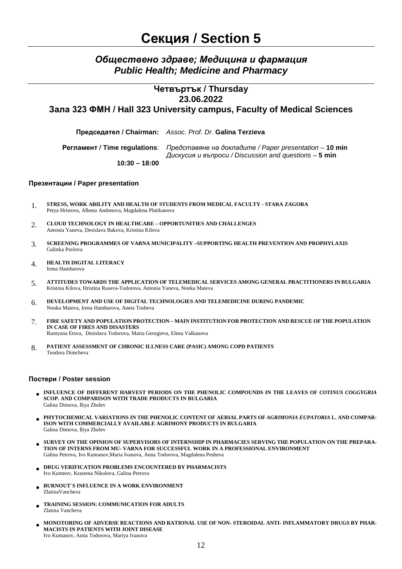## *Обществено здраве; Медицина и фармация Public Health; Medicine and Pharmacy*

### **Четвъртък / Thursday 23.06.2022 Зала 323 ФМН / Hall 323 University campus, Faculty of Medical Sciences**

**Председател / Chairman:** *Assoc. Prof. Dr.* **Galina Terzieva**

**Регламент / Time regulations**: *Представяне на докладите / Paper presentation* – **10 min** *Дискусия и въпроси / Discussion and questions* – **5 min**

**10:30 – 18:00**

#### **Презентации / Paper presentation**

- 1. **STRESS, WORK ABILITY AND HEALTH OF STUDENTS FROM MEDICAL FACULTY - STARA ZAGORA** Petya Hristova, Albena Andonova, Magdalena Platikanova
- 2. **CLOUD TECHNOLOGY IN HEALTHCARE – OPPORTUNITIES AND CHALLENGES** Antonia Yaneva, Desislava Bakova, Kristina Kilova
- 3. **SCREENING PROGRAMMES OF VARNA MUNICIPALITY –SUPPORTING HEALTH PREVENTION AND PROPHYLAXIS** Galinka Pavlova
- 4. **HEALTH DIGITAL LITERACY** Irena Hambarova
- 5. **ATTITUDES TOWARDS THE APPLICATION OF TELEMEDICAL SERVICES AMONG GENERAL PRACTITIONERS IN BULGARIA** Kristina Kilova, Hristina Ruseva-Todorova, Antonia Yaneva, Nonka Mateva
- 6. **DEVELOPMENT AND USE OF DIGITAL TECHNOLOGIES AND TELEMEDICINE DURING PANDEMIC** Nonka Mateva, Irena Hambarova, Aneta Tosheva
- 7. **FIRE SAFETY AND POPULATION PROTECTION – MAIN INSTITUTION FOR PROTECTION AND RESCUE OF THE POPULATION IN CASE OF FIRES AND DISASTERS** Rumyana Etova, Desislava Todorova, Maria Georgieva, Elena Valkanova

8. **PATIENT ASSESSMENT OF CHRONIC ILLNESS CARE (PASIC) AMONG COPD PATIENTS** Teodora Dimcheva

#### **Постери / Poster session**

- **INFLUENCE OF DIFFERENT HARVEST PERIODS ON THE PHENOLIC COMPOUNDS IN THE LEAVES OF** *COTINUS COGGYGRIA*  **SCOP. AND COMPARISON WITH TRADE PRODUCTS IN BULGARIA** Galina Dimova, Iliya Zhelev
- **PHYTOCHEMICAL VARIATIONS IN THE PHENOLIC CONTENT OF AERIAL PARTS OF** *AGRIMONIA EUPATORIA* **L. AND COMPAR-ISON WITH COMMERCIALLY AVAILABLE AGRIMONY PRODUCTS IN BULGARIA** Galina Dimova, Iliya Zhelev
- **SURVEY ON THE OPINION OF SUPERVISORS OF INTERNSHIP IN PHARMACIES SERVING THE POPULATION ON THE PREPARA-TION OF INTERNS FROM MU- VARNA FOR SUCCESSFUL WORK IN A PROFESSIONAL ENVIRONMENT** Galina Petrova, Ivo Kumanov,Maria Ivanova, Anna Todorova, Magdalena Pesheva
- **DRUG VERIFICATION PROBLEMS ENCOUNTERED BY PHARMACISTS** Ivo Kumnov, Krastena Nikolova, Galina Petrova
- **BURNOUT`S INFLUENCE IN A WORK ENVIRONMENT** ZlatinaVancheva
- **TRAINING SESSION: COMMUNICATION FOR ADULTS** Zlatina Vancheva
- **MONOTORING OF ADVERSE REACTIONS AND RATIONAL USE OF NON- STEROIDAL ANTI- INFLAMMATORY DRUGS BY PHAR-MACISTS IN PATIENTS WITH JOINT DISEASE** Ivo Kumanov, Anna Todorova, Mariya Ivanova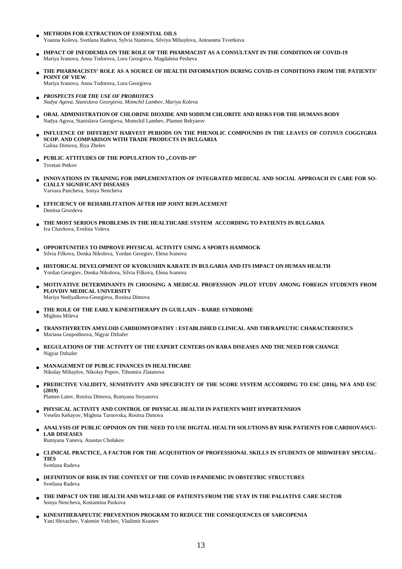- **METHODS FOR EXTRACTION OF ESSENTIAL OILS** Yoanna Koleva, Svetlana Radeva, Sylvia Stamova, Silviya Mihaylova, Antoaneta Tsvetkova
- **IMPACT OF INFODEMIA ON THE ROLE OF THE PHARMACIST AS A CONSULTANT IN THE CONDITION OF COVID-19** Mariya Ivanova, Anna Todorova, Lora Georgieva, Magdalena Pesheva
- **THE PHARMACISTS' ROLE AS A SOURCE OF HEALTH INFORMATION DURING COVID-19 CONDITIONS FROM THE PATIENTS' POINT OF VIEW**. Mariya Ivanova, Anna Todorova, Lora Georgieva
- *PROSPECTS FOR THE USE OF PROBIOTICS Nadya Agova, Stanislava Georgieva, Momchil Lambev, Mariya Koleva*
- **ORAL ADMINISTRATION OF CHLORINE DIOXIDE AND SODIUM CHLORITE AND RISKS FOR THE HUMANS BODY** Nadya Agova, Stanislava Georgieva, Momchil Lambev, Plamen Bekyarov
- **INFLUENCE OF DIFFERENT HARVEST PERIODS ON THE PHENOLIC COMPOUNDS IN THE LEAVES OF** *COTINUS COGGYGRIA*  **SCOP. AND COMPARISON WITH TRADE PRODUCTS IN BULGARIA** Galina Dimova, Iliya Zhelev
- **PUBLIC ATTITUDES OF THE POPULATION TO ,,COVID-19"** Tsvetan Petkov
- **INNOVATIONS IN TRAINING FOR IMPLEMENTATION OF INTEGRATED MEDICAL AND SOCIAL APPROACH IN CARE FOR SO-CIALLY SIGNIFICANT DISEASES** Varvara Pancheva, Sonya Nencheva
- **EFFICIENCY OF REHABILITATION AFTER HIP JOINT REPLACEMENT** Denitsa Grozdeva
- **THE MOST SERIOUS PROBLEMS IN THE HEALTHCARE SYSTEM ACCORDING TO PATIENTS IN BULGARIA** Iva Chavkova, Evelina Veleva
- **OPPORTUNITIES TO IMPROVE PHYSICAL ACTIVITY USING A SPORTS HAMMOCK** Silvia Filkova, Donka Nikolova, Yordan Georgiev, Elena Ivanova
- **HISTORICAL DEVELOPMENT OF KYOKUSHIN KARATE IN BULGARIA AND ITS IMPACT ON HUMAN HEALTH** Yordan Georgiev, Donka Nikolova, Silvia Filkova, Elena Ivanova
- **MOTIVATIVE DETERMINANTS IN CHOOSING A MEDICAL PROFESSION -PILOT STUDY AMONG FOREIGN STUDENTS FROM PLOVDIV MEDICAL UNIVERSITY** Mariya Nediyalkova-Georgieva, Rositsa Dimova
- **THE ROLE OF THE EARLY KINESITHERAPY IN GUILLAIN – BARRE SYNDROME** Miglena Mileva
- **TRANSTHYRETIN AMYLOID CARDIOMYOPATHY : ESTABLISHED CLINICAL AND THERAPEUTIC CHARACTERISTICS** Mariana Gospodinova, Nigyar Dzhafer
- **REGULATIONS OF THE ACTIVITY OF THE EXPERT CENTERS ON RARA DISEASES AND THE NEED FOR CHANGE** Nigyar Dzhafer
- **MANAGEMENT OF PUBLIC FINANCES IN HEALTHCARE** Nikolay Mihaylov, Nikolay Popov, Tihomira Zlatanova
- **PREDICTIVE VALIDITY, SENSITIVITY AND SPECIFICITY OF THE SCORE SYSTEM ACCORDING TO ESC (2016), NFA AND ESC (2019)**

Plamen Latev, Rositsa Dimova, Rumyana Stoyanova

- **PHYSICAL ACTIVITY AND CONTROL OF PHYSICAL HEALTH IN PATIENTS WHIT HYPERTENSION** Veselin Kehayov, Miglena Tarnovska, Rositsa Dimova
- **ANALYSIS OF PUBLIC OPINION ON THE NEED TO USE DIGITAL HEALTH SOLUTIONS BY RISK PATIENTS FOR CARDIOVASCU-LAR DISEASES**

Rumyana Yaneva, Anastas Cholakov

- **CLINICAL PRACTICE, A FACTOR FOR THE ACQUISITION OF PROFESSIONAL SKILLS IN STUDENTS OF MIDWIFERY SPECIAL-TIES** Svetlana Radeva
- **DEFINITION OF RISK IN THE CONTEXT OF THE COVID 19 PANDEMIC IN OBSTETRIC STRUCTURES** Svetlana Radeva
- **THE IMPACT ON THE HEALTH AND WELFARE OF PATIENTS FROM THE STAY IN THE PALIATIVE CARE SECTOR** Sonya Nencheva, Kostantina Paskova
- **KINESITHERAPEUTIC PREVENTION PROGRAM TO REDUCE THE CONSEQUENCES OF SARCOPENIA** Yani Shivachev, Valentin Velchev, Vladimir Krastev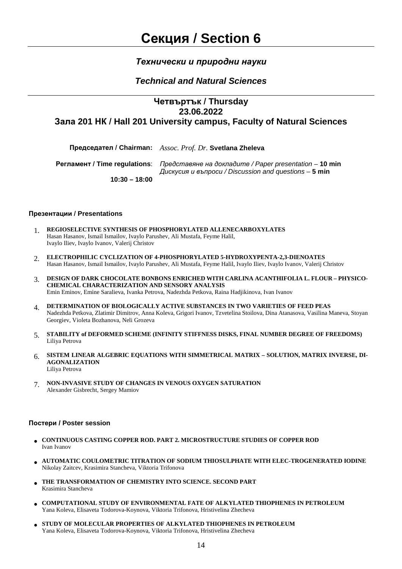### *Технически и природни науки*

## *Technical and Natural Sciences*

## **Четвъртък / Thursday 23.06.2022 Зала 201 НК / Hall 201 University campus, Faculty of Natural Sciences**

**Председател / Chairman:** *Assoc. Prof. Dr.* **Svetlana Zheleva**

**Регламент / Time regulations**: *Представяне на докладите / Paper presentation* – **10 min**

*Дискусия и въпроси / Discussion and questions* – **5 min**

**10:30 – 18:00**

#### **Презентации / Presentations**

- 1. **REGIOSELECTIVE SYNTHESIS OF PHOSPHORYLATED ALLENECARBOXYLATES** Hasan Hasanov, Ismail Ismailov, Ivaylo Parushev, Ali Mustafa, Feyme Halil, Ivaylo Iliev, Ivaylo Ivanov, Valerij Christov
- 2. **ELECTROPHILIC CYCLIZATION OF 4-PHOSPHORYLATED 5-HYDROXYPENTA-2,3-DIENOATES** Hasan Hasanov, Ismail Ismailov, Ivaylo Parushev, Ali Mustafa, Feyme Halil, Ivaylo Iliev, Ivaylo Ivanov, Valerij Christov
- 3. **DESIGN OF DARK CHOCOLATE BONBONS ENRICHED WITH CARLINA ACANTHIFOLIA L. FLOUR – PHYSICO-CHEMICAL CHARACTERIZATION AND SENSORY ANALYSIS**  Emin Eminov, Emine Saralieva, Ivanka Petrova, Nadezhda Petkova, Raina Hadjikinova, Ivan Ivanov
- 4. **DETERMINATION OF BIOLOGICALLY ACTIVE SUBSTANCES IN TWO VARIETIES OF FEED PEAS** Nadezhda Petkova, Zlatimir Dimitrov, Anna Koleva, Grigori Ivanov, Tzvetelina Stoilova, Dina Atanasova, Vasilina Maneva, Stoyan Georgiev, Violeta Bozhanova, Neli Grozeva
- 5. **STABILITY of DEFORMED SCHEME (INFINITY STIFFNESS DISKS, FINAL NUMBER DEGREE OF FREEDOMS)** Liliya Petrova
- 6. **SISTEM LINEAR ALGEBRIC EQUATIONS WITH SIMMETRICAL MATRIX – SOLUTION, MATRIX INVERSE, DI-AGONALIZATION** Liliya Petrova
- 7. **NON-INVASIVE STUDY OF CHANGES IN VENOUS OXYGEN SATURATION** Alexander Gisbrecht, Sergey Mamiov

#### **Постери / Poster session**

- **CONTINUOUS CASTING COPPER ROD. PART 2. MICROSTRUCTURE STUDIES OF COPPER ROD**  Ivan Ivanov
- **AUTOMATIC COULOMETRIC TITRATION OF SODIUM THIOSULPHATE WITH ELEC-TROGENERATED IODINE** Nikolay Zaitcev, Krasimira Stancheva, Viktoria Trifonova
- **THE TRANSFORMATION OF CHEMISTRY INTO SCIENCE. SECOND PART** Krasimira Stancheva
- **COMPUTATIONAL STUDY OF ENVIRONMENTAL FATE OF ALKYLATED THIOPHENES IN PETROLEUM** Yana Koleva, Elisaveta Todorova-Koynova, Viktoria Trifonova, Hristivelina Zhecheva
- **STUDY OF MOLECULAR PROPERTIES OF ALKYLATED THIOPHENES IN PETROLEUM** Yana Koleva, Elisaveta Todorova-Koynova, Viktoria Trifonova, Hristivelina Zhecheva